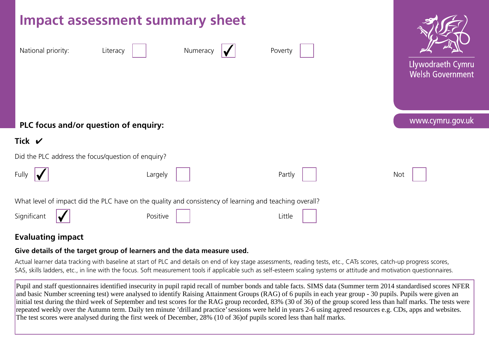

# **Evaluating impact**

# **Give details of the target group of learners and the data measure used.**

Actual learner data tracking with baseline at start of PLC and details on end of key stage assessments, reading tests, etc., CATs scores, catch-up progress scores, SAS, skills ladders, etc., in line with the focus. Soft measurement tools if applicable such as self-esteem scaling systems or attitude and motivation questionnaires.

Pupil and staff questionnaires identified insecurity in pupil rapid recall of number bonds and table facts. SIMS data (Summer term 2014 standardised scores NFER and basic Number screening test) were analysed to identify Raising Attainment Groups (RAG) of 6 pupils in each year group - 30 pupils. Pupils were given an initial test during the third week of September and test scores for the RAG group recorded, 83% (30 of 36) of the group scored less than half marks. The tests were repeated weekly over the Autumn term. Daily ten minute 'drill and practice' sessions were held in years 2-6 using agreed resources e.g. CDs, apps and websites. The test scores were analysed during the first week of December, 28% (10 of 36)of pupils scored less than half marks.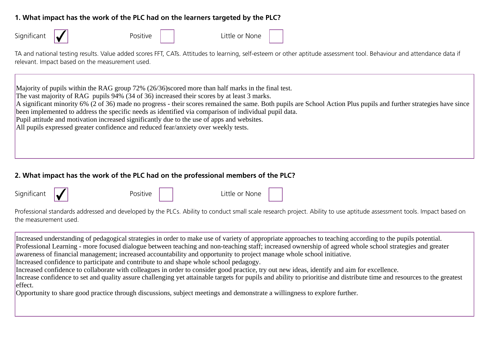## **1. What impact has the work of the PLC had on the learners targeted by the PLC?**

| Significant                                                                                                                                                                                                              | Positive                                                                                                                                                                                                                                                                                                                                                                              | Little or None                                                                                                                                                                                                                                                              |  |
|--------------------------------------------------------------------------------------------------------------------------------------------------------------------------------------------------------------------------|---------------------------------------------------------------------------------------------------------------------------------------------------------------------------------------------------------------------------------------------------------------------------------------------------------------------------------------------------------------------------------------|-----------------------------------------------------------------------------------------------------------------------------------------------------------------------------------------------------------------------------------------------------------------------------|--|
| TA and national testing results. Value added scores FFT, CATs. Attitudes to learning, self-esteem or other aptitude assessment tool. Behaviour and attendance data if<br>relevant. Impact based on the measurement used. |                                                                                                                                                                                                                                                                                                                                                                                       |                                                                                                                                                                                                                                                                             |  |
|                                                                                                                                                                                                                          | Majority of pupils within the RAG group 72% (26/36) scored more than half marks in the final test.<br>The vast majority of RAG pupils 94% (34 of 36) increased their scores by at least 3 marks.<br>Pupil attitude and motivation increased significantly due to the use of apps and websites.<br>All pupils expressed greater confidence and reduced fear/anxiety over weekly tests. | A significant minority 6% (2 of 36) made no progress - their scores remained the same. Both pupils are School Action Plus pupils and further strategies have since<br>been implemented to address the specific needs as identified via comparison of individual pupil data. |  |

#### **2. What impact has the work of the PLC had on the professional members of the PLC?**

| Significant |
|-------------|
|-------------|

Positive **Little or None** 

Professional standards addressed and developed by the PLCs. Ability to conduct small scale research project. Ability to use aptitude assessment tools. Impact based on the measurement used.

Increased understanding of pedagogical strategies in order to make use of variety of appropriate approaches to teaching according to the pupils potential. Professional Learning - more focused dialogue between teaching and non-teaching staff; increased ownership of agreed whole school strategies and greater awareness of financial management; increased accountability and opportunity to project manage whole school initiative. Increased confidence to participate and contribute to and shape whole school pedagogy. Increased confidence to collaborate with colleagues in order to consider good practice, try out new ideas, identify and aim for excellence. Increase confidence to set and quality assure challenging yet attainable targets for pupils and ability to prioritise and distribute time and resources to the greatest

#### effect.

Opportunity to share good practice through discussions, subject meetings and demonstrate a willingness to explore further.